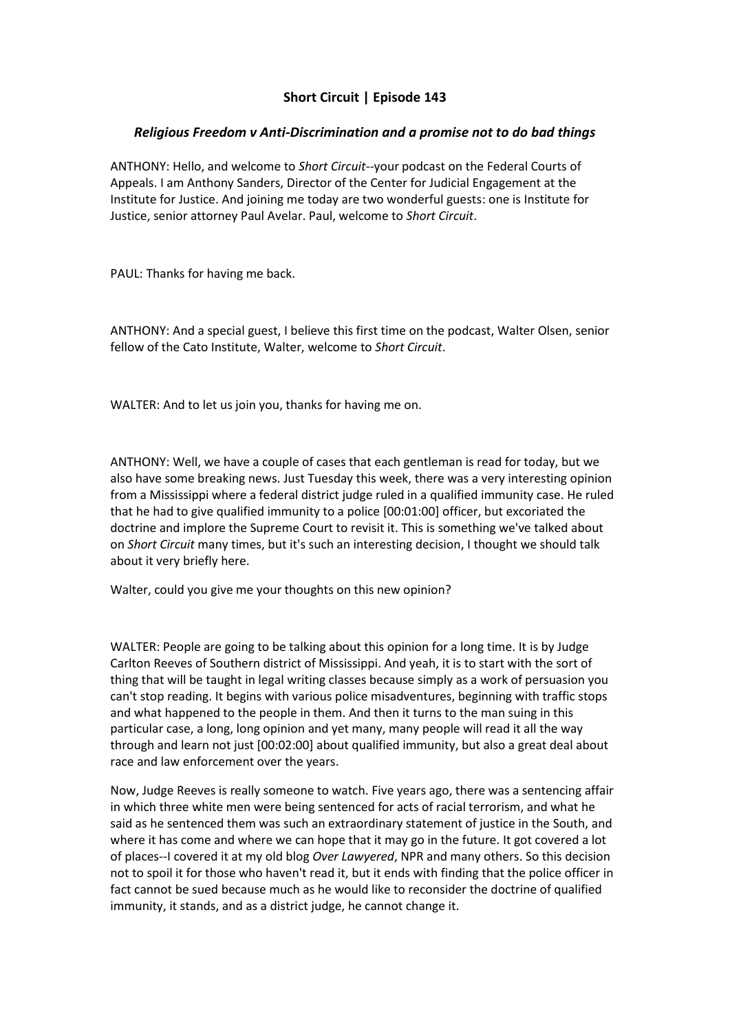## **Short Circuit | Episode 143**

## *Religious Freedom v Anti-Discrimination and a promise not to do bad things*

ANTHONY: Hello, and welcome to *Short Circuit*--your podcast on the Federal Courts of Appeals. I am Anthony Sanders, Director of the Center for Judicial Engagement at the Institute for Justice. And joining me today are two wonderful guests: one is Institute for Justice, senior attorney Paul Avelar. Paul, welcome to *Short Circuit*.

PAUL: Thanks for having me back.

ANTHONY: And a special guest, I believe this first time on the podcast, Walter Olsen, senior fellow of the Cato Institute, Walter, welcome to *Short Circuit*.

WALTER: And to let us join you, thanks for having me on.

ANTHONY: Well, we have a couple of cases that each gentleman is read for today, but we also have some breaking news. Just Tuesday this week, there was a very interesting opinion from a Mississippi where a federal district judge ruled in a qualified immunity case. He ruled that he had to give qualified immunity to a police [00:01:00] officer, but excoriated the doctrine and implore the Supreme Court to revisit it. This is something we've talked about on *Short Circuit* many times, but it's such an interesting decision, I thought we should talk about it very briefly here.

Walter, could you give me your thoughts on this new opinion?

WALTER: People are going to be talking about this opinion for a long time. It is by Judge Carlton Reeves of Southern district of Mississippi. And yeah, it is to start with the sort of thing that will be taught in legal writing classes because simply as a work of persuasion you can't stop reading. It begins with various police misadventures, beginning with traffic stops and what happened to the people in them. And then it turns to the man suing in this particular case, a long, long opinion and yet many, many people will read it all the way through and learn not just [00:02:00] about qualified immunity, but also a great deal about race and law enforcement over the years.

Now, Judge Reeves is really someone to watch. Five years ago, there was a sentencing affair in which three white men were being sentenced for acts of racial terrorism, and what he said as he sentenced them was such an extraordinary statement of justice in the South, and where it has come and where we can hope that it may go in the future. It got covered a lot of places--I covered it at my old blog *Over Lawyered*, NPR and many others. So this decision not to spoil it for those who haven't read it, but it ends with finding that the police officer in fact cannot be sued because much as he would like to reconsider the doctrine of qualified immunity, it stands, and as a district judge, he cannot change it.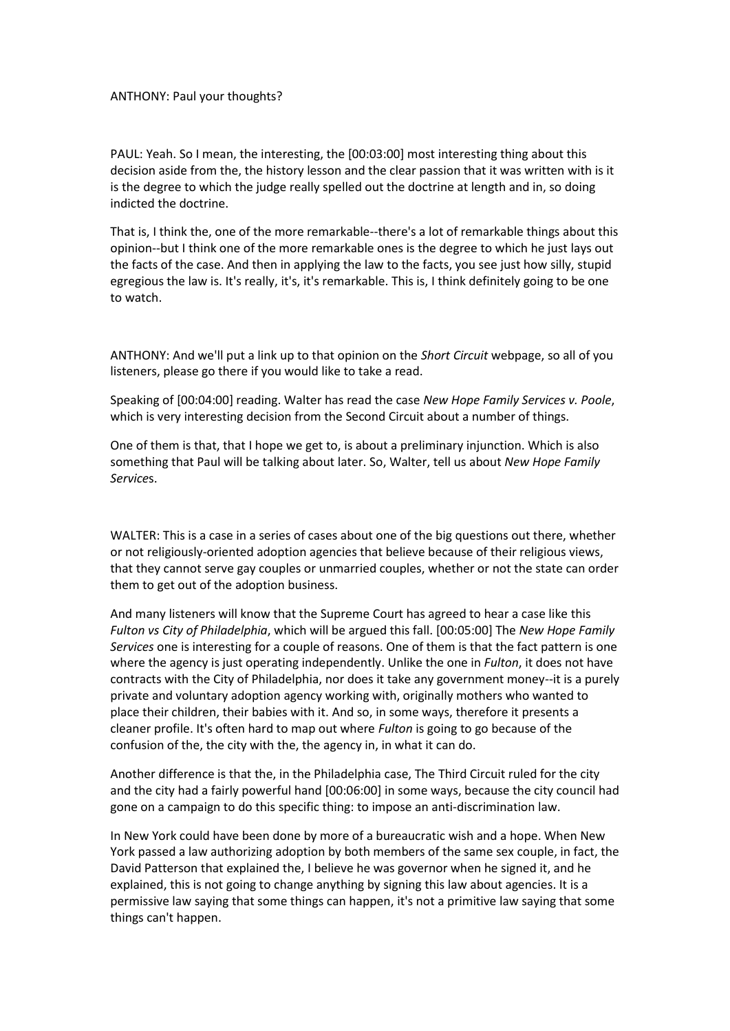## ANTHONY: Paul your thoughts?

PAUL: Yeah. So I mean, the interesting, the [00:03:00] most interesting thing about this decision aside from the, the history lesson and the clear passion that it was written with is it is the degree to which the judge really spelled out the doctrine at length and in, so doing indicted the doctrine.

That is, I think the, one of the more remarkable--there's a lot of remarkable things about this opinion--but I think one of the more remarkable ones is the degree to which he just lays out the facts of the case. And then in applying the law to the facts, you see just how silly, stupid egregious the law is. It's really, it's, it's remarkable. This is, I think definitely going to be one to watch.

ANTHONY: And we'll put a link up to that opinion on the *Short Circuit* webpage, so all of you listeners, please go there if you would like to take a read.

Speaking of [00:04:00] reading. Walter has read the case *New Hope Family Services v. Poole*, which is very interesting decision from the Second Circuit about a number of things.

One of them is that, that I hope we get to, is about a preliminary injunction. Which is also something that Paul will be talking about later. So, Walter, tell us about *New Hope Family Service*s.

WALTER: This is a case in a series of cases about one of the big questions out there, whether or not religiously-oriented adoption agencies that believe because of their religious views, that they cannot serve gay couples or unmarried couples, whether or not the state can order them to get out of the adoption business.

And many listeners will know that the Supreme Court has agreed to hear a case like this *Fulton vs City of Philadelphia*, which will be argued this fall. [00:05:00] The *New Hope Family Services* one is interesting for a couple of reasons. One of them is that the fact pattern is one where the agency is just operating independently. Unlike the one in *Fulton*, it does not have contracts with the City of Philadelphia, nor does it take any government money--it is a purely private and voluntary adoption agency working with, originally mothers who wanted to place their children, their babies with it. And so, in some ways, therefore it presents a cleaner profile. It's often hard to map out where *Fulton* is going to go because of the confusion of the, the city with the, the agency in, in what it can do.

Another difference is that the, in the Philadelphia case, The Third Circuit ruled for the city and the city had a fairly powerful hand [00:06:00] in some ways, because the city council had gone on a campaign to do this specific thing: to impose an anti-discrimination law.

In New York could have been done by more of a bureaucratic wish and a hope. When New York passed a law authorizing adoption by both members of the same sex couple, in fact, the David Patterson that explained the, I believe he was governor when he signed it, and he explained, this is not going to change anything by signing this law about agencies. It is a permissive law saying that some things can happen, it's not a primitive law saying that some things can't happen.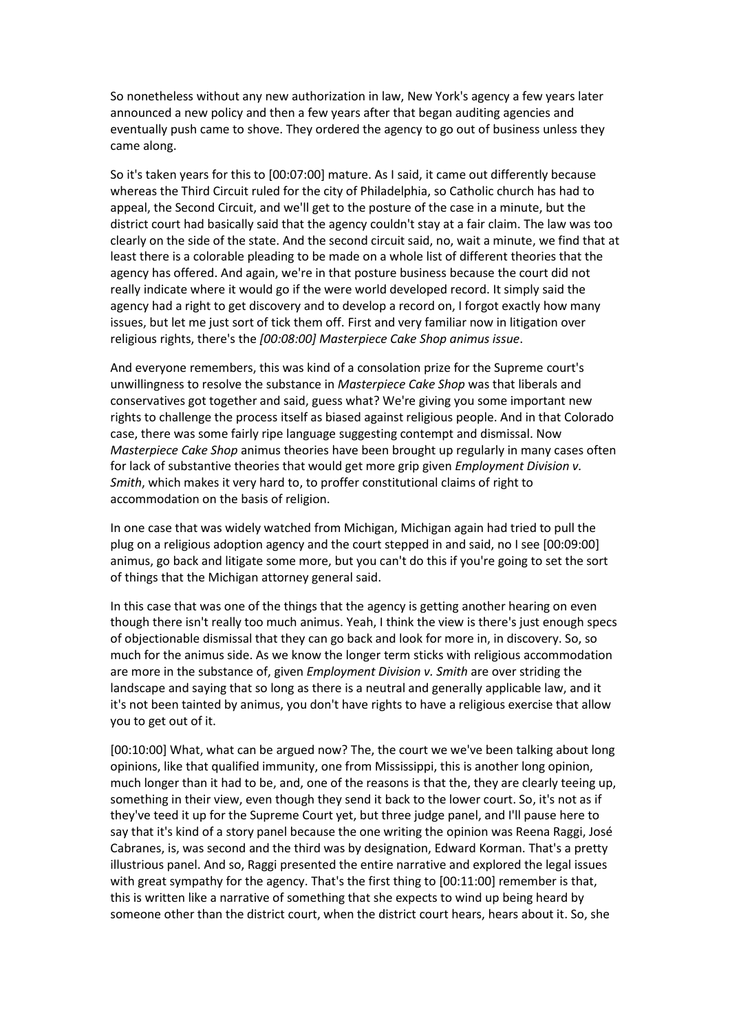So nonetheless without any new authorization in law, New York's agency a few years later announced a new policy and then a few years after that began auditing agencies and eventually push came to shove. They ordered the agency to go out of business unless they came along.

So it's taken years for this to [00:07:00] mature. As I said, it came out differently because whereas the Third Circuit ruled for the city of Philadelphia, so Catholic church has had to appeal, the Second Circuit, and we'll get to the posture of the case in a minute, but the district court had basically said that the agency couldn't stay at a fair claim. The law was too clearly on the side of the state. And the second circuit said, no, wait a minute, we find that at least there is a colorable pleading to be made on a whole list of different theories that the agency has offered. And again, we're in that posture business because the court did not really indicate where it would go if the were world developed record. It simply said the agency had a right to get discovery and to develop a record on, I forgot exactly how many issues, but let me just sort of tick them off. First and very familiar now in litigation over religious rights, there's the *[00:08:00] Masterpiece Cake Shop animus issue*.

And everyone remembers, this was kind of a consolation prize for the Supreme court's unwillingness to resolve the substance in *Masterpiece Cake Shop* was that liberals and conservatives got together and said, guess what? We're giving you some important new rights to challenge the process itself as biased against religious people. And in that Colorado case, there was some fairly ripe language suggesting contempt and dismissal. Now *Masterpiece Cake Shop* animus theories have been brought up regularly in many cases often for lack of substantive theories that would get more grip given *Employment Division v. Smith*, which makes it very hard to, to proffer constitutional claims of right to accommodation on the basis of religion.

In one case that was widely watched from Michigan, Michigan again had tried to pull the plug on a religious adoption agency and the court stepped in and said, no I see [00:09:00] animus, go back and litigate some more, but you can't do this if you're going to set the sort of things that the Michigan attorney general said.

In this case that was one of the things that the agency is getting another hearing on even though there isn't really too much animus. Yeah, I think the view is there's just enough specs of objectionable dismissal that they can go back and look for more in, in discovery. So, so much for the animus side. As we know the longer term sticks with religious accommodation are more in the substance of, given *Employment Division v. Smith* are over striding the landscape and saying that so long as there is a neutral and generally applicable law, and it it's not been tainted by animus, you don't have rights to have a religious exercise that allow you to get out of it.

[00:10:00] What, what can be argued now? The, the court we we've been talking about long opinions, like that qualified immunity, one from Mississippi, this is another long opinion, much longer than it had to be, and, one of the reasons is that the, they are clearly teeing up, something in their view, even though they send it back to the lower court. So, it's not as if they've teed it up for the Supreme Court yet, but three judge panel, and I'll pause here to say that it's kind of a story panel because the one writing the opinion was Reena Raggi, José Cabranes, is, was second and the third was by designation, Edward Korman. That's a pretty illustrious panel. And so, Raggi presented the entire narrative and explored the legal issues with great sympathy for the agency. That's the first thing to [00:11:00] remember is that, this is written like a narrative of something that she expects to wind up being heard by someone other than the district court, when the district court hears, hears about it. So, she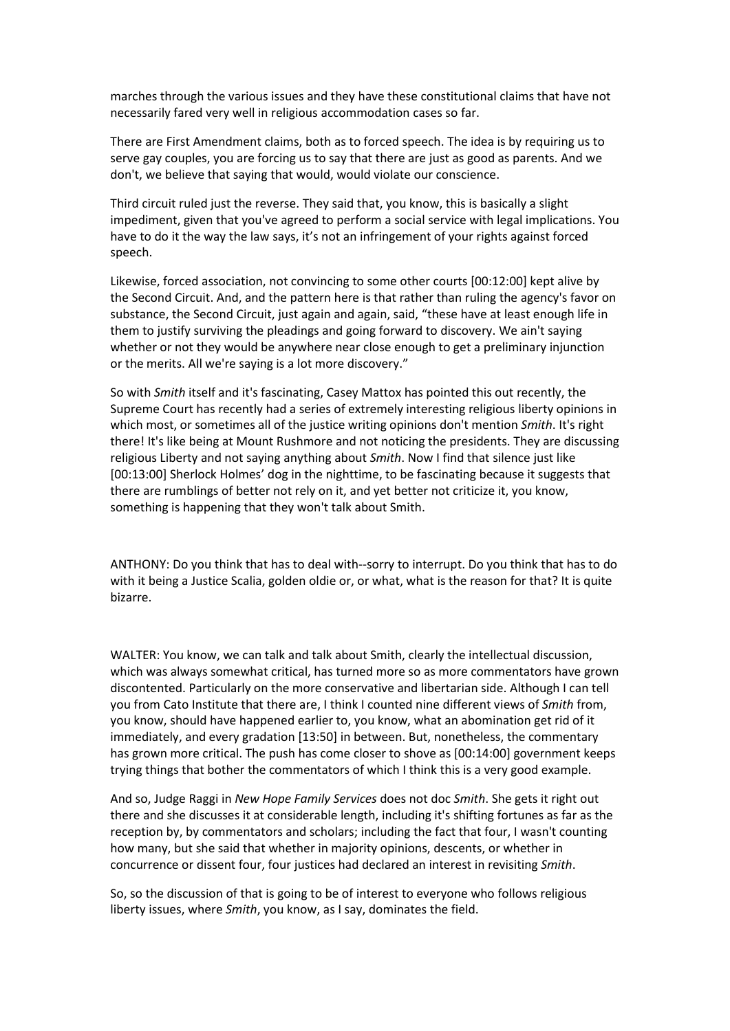marches through the various issues and they have these constitutional claims that have not necessarily fared very well in religious accommodation cases so far.

There are First Amendment claims, both as to forced speech. The idea is by requiring us to serve gay couples, you are forcing us to say that there are just as good as parents. And we don't, we believe that saying that would, would violate our conscience.

Third circuit ruled just the reverse. They said that, you know, this is basically a slight impediment, given that you've agreed to perform a social service with legal implications. You have to do it the way the law says, it's not an infringement of your rights against forced speech.

Likewise, forced association, not convincing to some other courts [00:12:00] kept alive by the Second Circuit. And, and the pattern here is that rather than ruling the agency's favor on substance, the Second Circuit, just again and again, said, "these have at least enough life in them to justify surviving the pleadings and going forward to discovery. We ain't saying whether or not they would be anywhere near close enough to get a preliminary injunction or the merits. All we're saying is a lot more discovery."

So with *Smith* itself and it's fascinating, Casey Mattox has pointed this out recently, the Supreme Court has recently had a series of extremely interesting religious liberty opinions in which most, or sometimes all of the justice writing opinions don't mention *Smith*. It's right there! It's like being at Mount Rushmore and not noticing the presidents. They are discussing religious Liberty and not saying anything about *Smith*. Now I find that silence just like [00:13:00] Sherlock Holmes' dog in the nighttime, to be fascinating because it suggests that there are rumblings of better not rely on it, and yet better not criticize it, you know, something is happening that they won't talk about Smith.

ANTHONY: Do you think that has to deal with--sorry to interrupt. Do you think that has to do with it being a Justice Scalia, golden oldie or, or what, what is the reason for that? It is quite bizarre.

WALTER: You know, we can talk and talk about Smith, clearly the intellectual discussion, which was always somewhat critical, has turned more so as more commentators have grown discontented. Particularly on the more conservative and libertarian side. Although I can tell you from Cato Institute that there are, I think I counted nine different views of *Smith* from, you know, should have happened earlier to, you know, what an abomination get rid of it immediately, and every gradation [13:50] in between. But, nonetheless, the commentary has grown more critical. The push has come closer to shove as [00:14:00] government keeps trying things that bother the commentators of which I think this is a very good example.

And so, Judge Raggi in *New Hope Family Services* does not doc *Smith*. She gets it right out there and she discusses it at considerable length, including it's shifting fortunes as far as the reception by, by commentators and scholars; including the fact that four, I wasn't counting how many, but she said that whether in majority opinions, descents, or whether in concurrence or dissent four, four justices had declared an interest in revisiting *Smith*.

So, so the discussion of that is going to be of interest to everyone who follows religious liberty issues, where *Smith*, you know, as I say, dominates the field.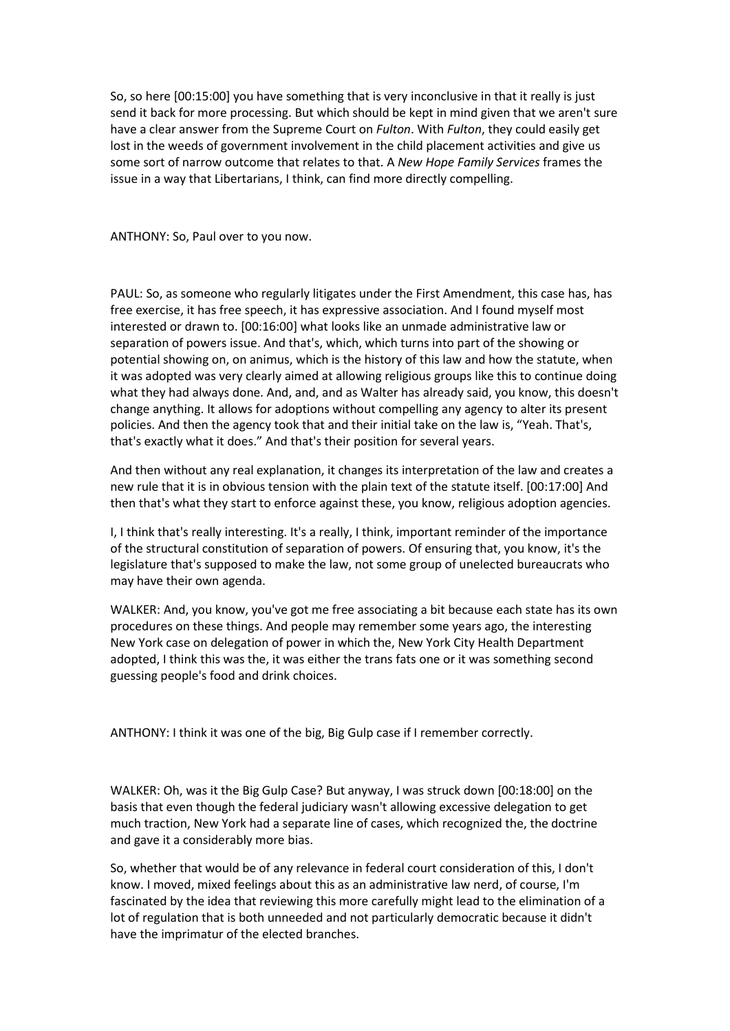So, so here [00:15:00] you have something that is very inconclusive in that it really is just send it back for more processing. But which should be kept in mind given that we aren't sure have a clear answer from the Supreme Court on *Fulton*. With *Fulton*, they could easily get lost in the weeds of government involvement in the child placement activities and give us some sort of narrow outcome that relates to that. A *New Hope Family Services* frames the issue in a way that Libertarians, I think, can find more directly compelling.

ANTHONY: So, Paul over to you now.

PAUL: So, as someone who regularly litigates under the First Amendment, this case has, has free exercise, it has free speech, it has expressive association. And I found myself most interested or drawn to. [00:16:00] what looks like an unmade administrative law or separation of powers issue. And that's, which, which turns into part of the showing or potential showing on, on animus, which is the history of this law and how the statute, when it was adopted was very clearly aimed at allowing religious groups like this to continue doing what they had always done. And, and, and as Walter has already said, you know, this doesn't change anything. It allows for adoptions without compelling any agency to alter its present policies. And then the agency took that and their initial take on the law is, "Yeah. That's, that's exactly what it does." And that's their position for several years.

And then without any real explanation, it changes its interpretation of the law and creates a new rule that it is in obvious tension with the plain text of the statute itself. [00:17:00] And then that's what they start to enforce against these, you know, religious adoption agencies.

I, I think that's really interesting. It's a really, I think, important reminder of the importance of the structural constitution of separation of powers. Of ensuring that, you know, it's the legislature that's supposed to make the law, not some group of unelected bureaucrats who may have their own agenda.

WALKER: And, you know, you've got me free associating a bit because each state has its own procedures on these things. And people may remember some years ago, the interesting New York case on delegation of power in which the, New York City Health Department adopted, I think this was the, it was either the trans fats one or it was something second guessing people's food and drink choices.

ANTHONY: I think it was one of the big, Big Gulp case if I remember correctly.

WALKER: Oh, was it the Big Gulp Case? But anyway, I was struck down [00:18:00] on the basis that even though the federal judiciary wasn't allowing excessive delegation to get much traction, New York had a separate line of cases, which recognized the, the doctrine and gave it a considerably more bias.

So, whether that would be of any relevance in federal court consideration of this, I don't know. I moved, mixed feelings about this as an administrative law nerd, of course, I'm fascinated by the idea that reviewing this more carefully might lead to the elimination of a lot of regulation that is both unneeded and not particularly democratic because it didn't have the imprimatur of the elected branches.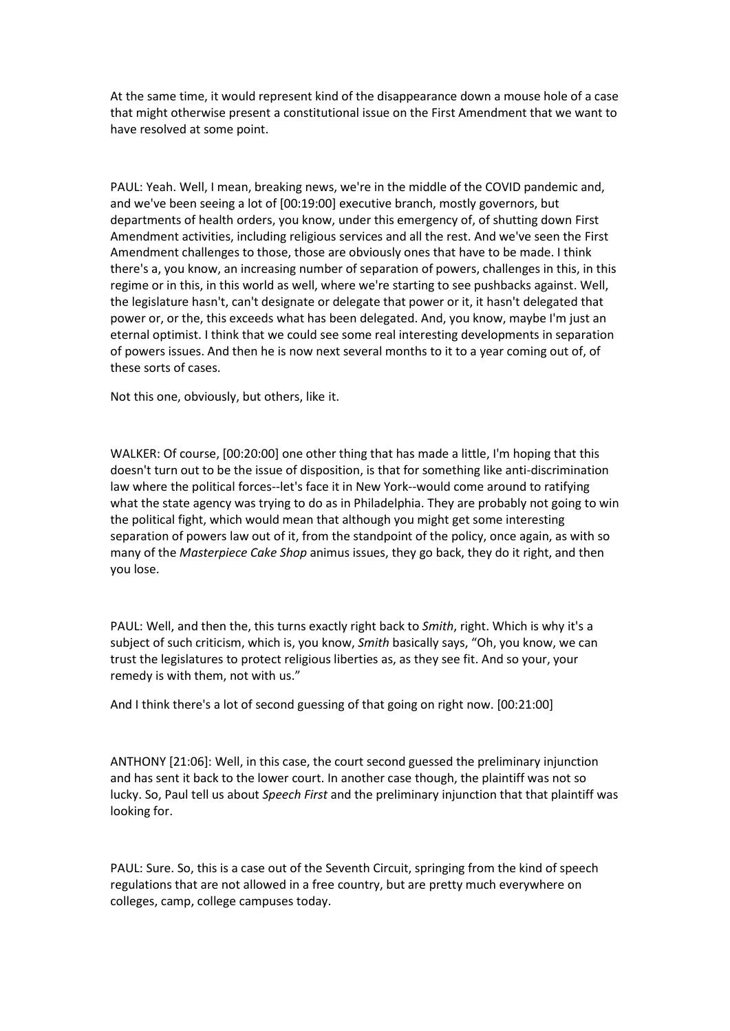At the same time, it would represent kind of the disappearance down a mouse hole of a case that might otherwise present a constitutional issue on the First Amendment that we want to have resolved at some point.

PAUL: Yeah. Well, I mean, breaking news, we're in the middle of the COVID pandemic and, and we've been seeing a lot of [00:19:00] executive branch, mostly governors, but departments of health orders, you know, under this emergency of, of shutting down First Amendment activities, including religious services and all the rest. And we've seen the First Amendment challenges to those, those are obviously ones that have to be made. I think there's a, you know, an increasing number of separation of powers, challenges in this, in this regime or in this, in this world as well, where we're starting to see pushbacks against. Well, the legislature hasn't, can't designate or delegate that power or it, it hasn't delegated that power or, or the, this exceeds what has been delegated. And, you know, maybe I'm just an eternal optimist. I think that we could see some real interesting developments in separation of powers issues. And then he is now next several months to it to a year coming out of, of these sorts of cases.

Not this one, obviously, but others, like it.

WALKER: Of course, [00:20:00] one other thing that has made a little, I'm hoping that this doesn't turn out to be the issue of disposition, is that for something like anti-discrimination law where the political forces--let's face it in New York--would come around to ratifying what the state agency was trying to do as in Philadelphia. They are probably not going to win the political fight, which would mean that although you might get some interesting separation of powers law out of it, from the standpoint of the policy, once again, as with so many of the *Masterpiece Cake Shop* animus issues, they go back, they do it right, and then you lose.

PAUL: Well, and then the, this turns exactly right back to *Smith*, right. Which is why it's a subject of such criticism, which is, you know, *Smith* basically says, "Oh, you know, we can trust the legislatures to protect religious liberties as, as they see fit. And so your, your remedy is with them, not with us."

And I think there's a lot of second guessing of that going on right now. [00:21:00]

ANTHONY [21:06]: Well, in this case, the court second guessed the preliminary injunction and has sent it back to the lower court. In another case though, the plaintiff was not so lucky. So, Paul tell us about *Speech First* and the preliminary injunction that that plaintiff was looking for.

PAUL: Sure. So, this is a case out of the Seventh Circuit, springing from the kind of speech regulations that are not allowed in a free country, but are pretty much everywhere on colleges, camp, college campuses today.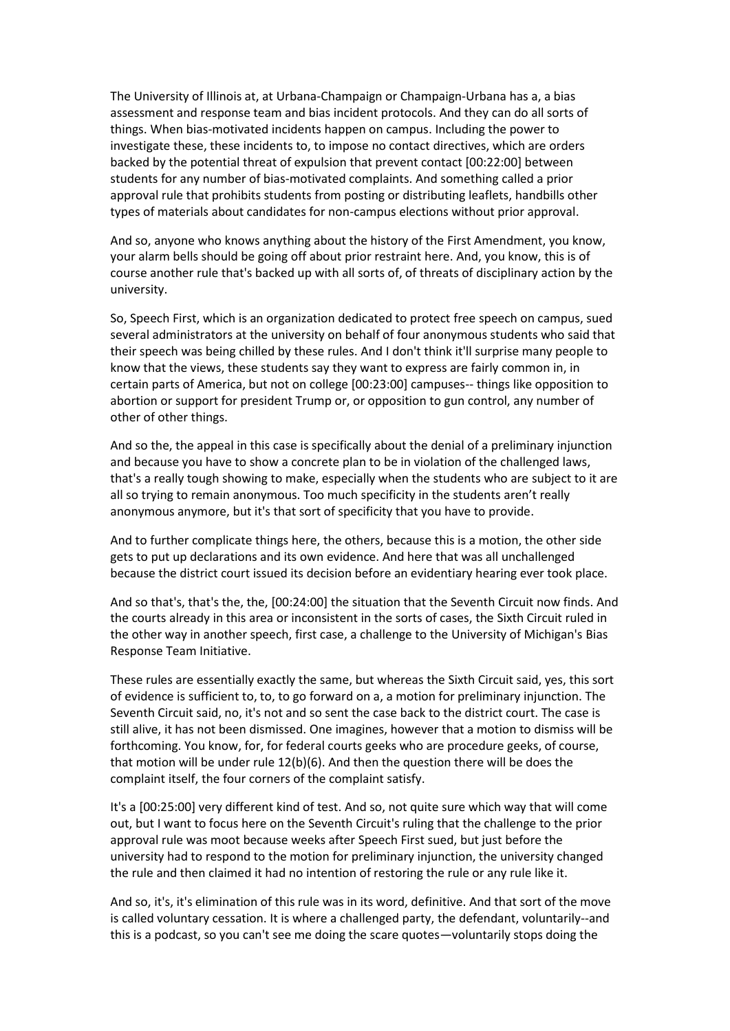The University of Illinois at, at Urbana-Champaign or Champaign-Urbana has a, a bias assessment and response team and bias incident protocols. And they can do all sorts of things. When bias-motivated incidents happen on campus. Including the power to investigate these, these incidents to, to impose no contact directives, which are orders backed by the potential threat of expulsion that prevent contact [00:22:00] between students for any number of bias-motivated complaints. And something called a prior approval rule that prohibits students from posting or distributing leaflets, handbills other types of materials about candidates for non-campus elections without prior approval.

And so, anyone who knows anything about the history of the First Amendment, you know, your alarm bells should be going off about prior restraint here. And, you know, this is of course another rule that's backed up with all sorts of, of threats of disciplinary action by the university.

So, Speech First, which is an organization dedicated to protect free speech on campus, sued several administrators at the university on behalf of four anonymous students who said that their speech was being chilled by these rules. And I don't think it'll surprise many people to know that the views, these students say they want to express are fairly common in, in certain parts of America, but not on college [00:23:00] campuses-- things like opposition to abortion or support for president Trump or, or opposition to gun control, any number of other of other things.

And so the, the appeal in this case is specifically about the denial of a preliminary injunction and because you have to show a concrete plan to be in violation of the challenged laws, that's a really tough showing to make, especially when the students who are subject to it are all so trying to remain anonymous. Too much specificity in the students aren't really anonymous anymore, but it's that sort of specificity that you have to provide.

And to further complicate things here, the others, because this is a motion, the other side gets to put up declarations and its own evidence. And here that was all unchallenged because the district court issued its decision before an evidentiary hearing ever took place.

And so that's, that's the, the, [00:24:00] the situation that the Seventh Circuit now finds. And the courts already in this area or inconsistent in the sorts of cases, the Sixth Circuit ruled in the other way in another speech, first case, a challenge to the University of Michigan's Bias Response Team Initiative.

These rules are essentially exactly the same, but whereas the Sixth Circuit said, yes, this sort of evidence is sufficient to, to, to go forward on a, a motion for preliminary injunction. The Seventh Circuit said, no, it's not and so sent the case back to the district court. The case is still alive, it has not been dismissed. One imagines, however that a motion to dismiss will be forthcoming. You know, for, for federal courts geeks who are procedure geeks, of course, that motion will be under rule 12(b)(6). And then the question there will be does the complaint itself, the four corners of the complaint satisfy.

It's a [00:25:00] very different kind of test. And so, not quite sure which way that will come out, but I want to focus here on the Seventh Circuit's ruling that the challenge to the prior approval rule was moot because weeks after Speech First sued, but just before the university had to respond to the motion for preliminary injunction, the university changed the rule and then claimed it had no intention of restoring the rule or any rule like it.

And so, it's, it's elimination of this rule was in its word, definitive. And that sort of the move is called voluntary cessation. It is where a challenged party, the defendant, voluntarily--and this is a podcast, so you can't see me doing the scare quotes—voluntarily stops doing the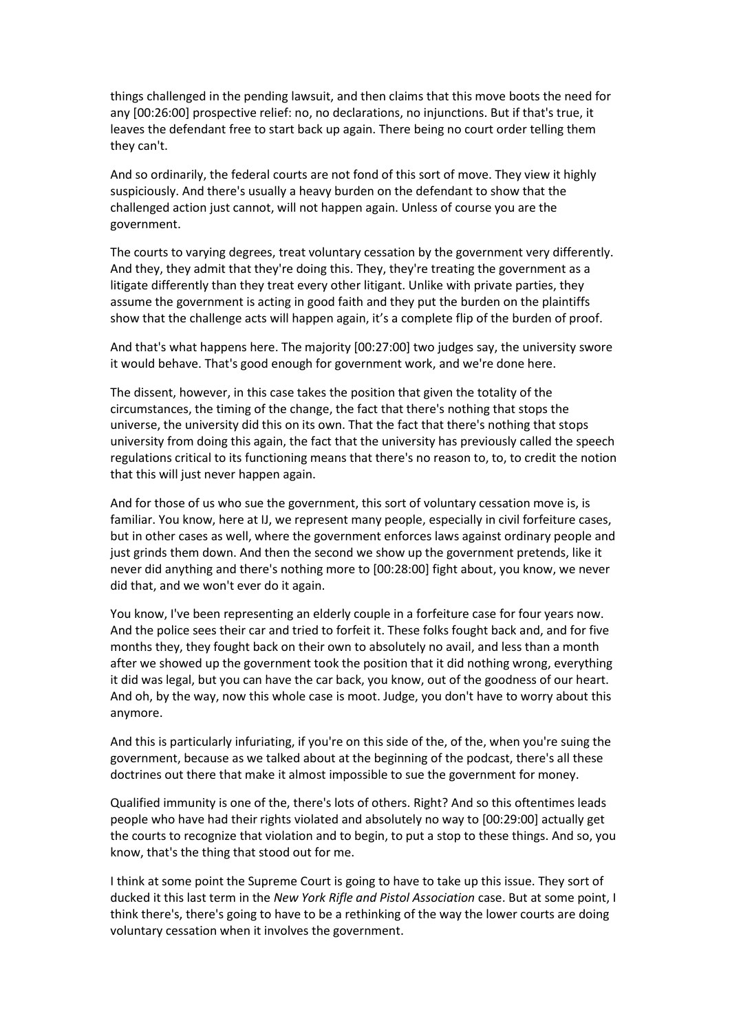things challenged in the pending lawsuit, and then claims that this move boots the need for any [00:26:00] prospective relief: no, no declarations, no injunctions. But if that's true, it leaves the defendant free to start back up again. There being no court order telling them they can't.

And so ordinarily, the federal courts are not fond of this sort of move. They view it highly suspiciously. And there's usually a heavy burden on the defendant to show that the challenged action just cannot, will not happen again. Unless of course you are the government.

The courts to varying degrees, treat voluntary cessation by the government very differently. And they, they admit that they're doing this. They, they're treating the government as a litigate differently than they treat every other litigant. Unlike with private parties, they assume the government is acting in good faith and they put the burden on the plaintiffs show that the challenge acts will happen again, it's a complete flip of the burden of proof.

And that's what happens here. The majority [00:27:00] two judges say, the university swore it would behave. That's good enough for government work, and we're done here.

The dissent, however, in this case takes the position that given the totality of the circumstances, the timing of the change, the fact that there's nothing that stops the universe, the university did this on its own. That the fact that there's nothing that stops university from doing this again, the fact that the university has previously called the speech regulations critical to its functioning means that there's no reason to, to, to credit the notion that this will just never happen again.

And for those of us who sue the government, this sort of voluntary cessation move is, is familiar. You know, here at IJ, we represent many people, especially in civil forfeiture cases, but in other cases as well, where the government enforces laws against ordinary people and just grinds them down. And then the second we show up the government pretends, like it never did anything and there's nothing more to [00:28:00] fight about, you know, we never did that, and we won't ever do it again.

You know, I've been representing an elderly couple in a forfeiture case for four years now. And the police sees their car and tried to forfeit it. These folks fought back and, and for five months they, they fought back on their own to absolutely no avail, and less than a month after we showed up the government took the position that it did nothing wrong, everything it did was legal, but you can have the car back, you know, out of the goodness of our heart. And oh, by the way, now this whole case is moot. Judge, you don't have to worry about this anymore.

And this is particularly infuriating, if you're on this side of the, of the, when you're suing the government, because as we talked about at the beginning of the podcast, there's all these doctrines out there that make it almost impossible to sue the government for money.

Qualified immunity is one of the, there's lots of others. Right? And so this oftentimes leads people who have had their rights violated and absolutely no way to [00:29:00] actually get the courts to recognize that violation and to begin, to put a stop to these things. And so, you know, that's the thing that stood out for me.

I think at some point the Supreme Court is going to have to take up this issue. They sort of ducked it this last term in the *New York Rifle and Pistol Association* case. But at some point, I think there's, there's going to have to be a rethinking of the way the lower courts are doing voluntary cessation when it involves the government.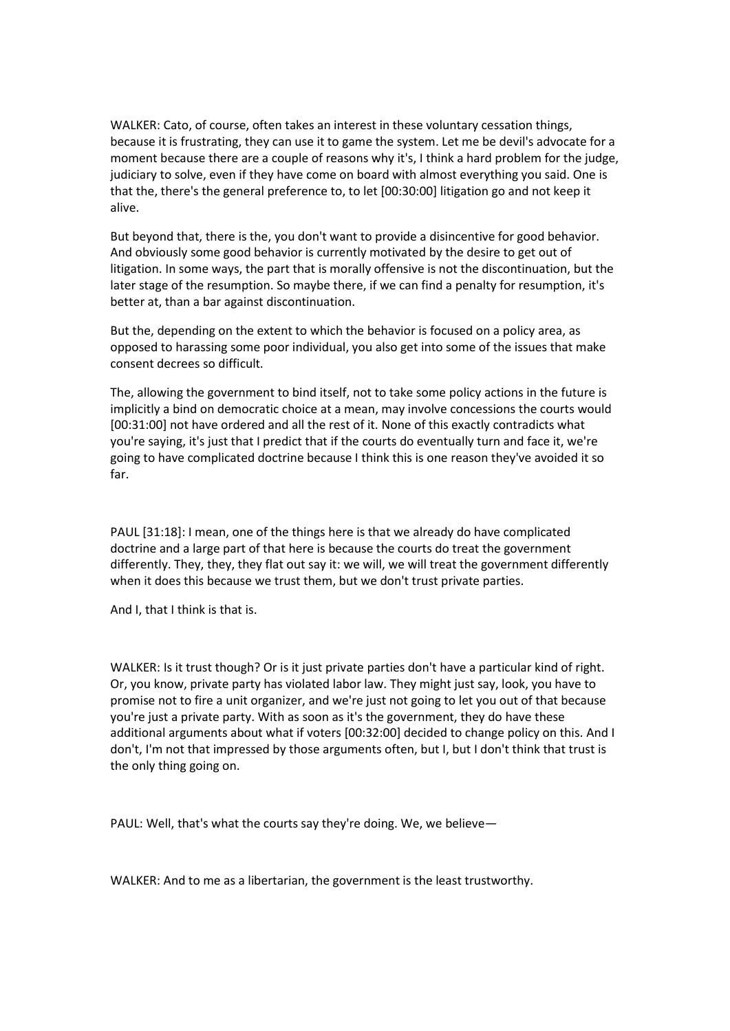WALKER: Cato, of course, often takes an interest in these voluntary cessation things, because it is frustrating, they can use it to game the system. Let me be devil's advocate for a moment because there are a couple of reasons why it's, I think a hard problem for the judge, judiciary to solve, even if they have come on board with almost everything you said. One is that the, there's the general preference to, to let [00:30:00] litigation go and not keep it alive.

But beyond that, there is the, you don't want to provide a disincentive for good behavior. And obviously some good behavior is currently motivated by the desire to get out of litigation. In some ways, the part that is morally offensive is not the discontinuation, but the later stage of the resumption. So maybe there, if we can find a penalty for resumption, it's better at, than a bar against discontinuation.

But the, depending on the extent to which the behavior is focused on a policy area, as opposed to harassing some poor individual, you also get into some of the issues that make consent decrees so difficult.

The, allowing the government to bind itself, not to take some policy actions in the future is implicitly a bind on democratic choice at a mean, may involve concessions the courts would [00:31:00] not have ordered and all the rest of it. None of this exactly contradicts what you're saying, it's just that I predict that if the courts do eventually turn and face it, we're going to have complicated doctrine because I think this is one reason they've avoided it so far.

PAUL [31:18]: I mean, one of the things here is that we already do have complicated doctrine and a large part of that here is because the courts do treat the government differently. They, they, they flat out say it: we will, we will treat the government differently when it does this because we trust them, but we don't trust private parties.

And I, that I think is that is.

WALKER: Is it trust though? Or is it just private parties don't have a particular kind of right. Or, you know, private party has violated labor law. They might just say, look, you have to promise not to fire a unit organizer, and we're just not going to let you out of that because you're just a private party. With as soon as it's the government, they do have these additional arguments about what if voters [00:32:00] decided to change policy on this. And I don't, I'm not that impressed by those arguments often, but I, but I don't think that trust is the only thing going on.

PAUL: Well, that's what the courts say they're doing. We, we believe—

WALKER: And to me as a libertarian, the government is the least trustworthy.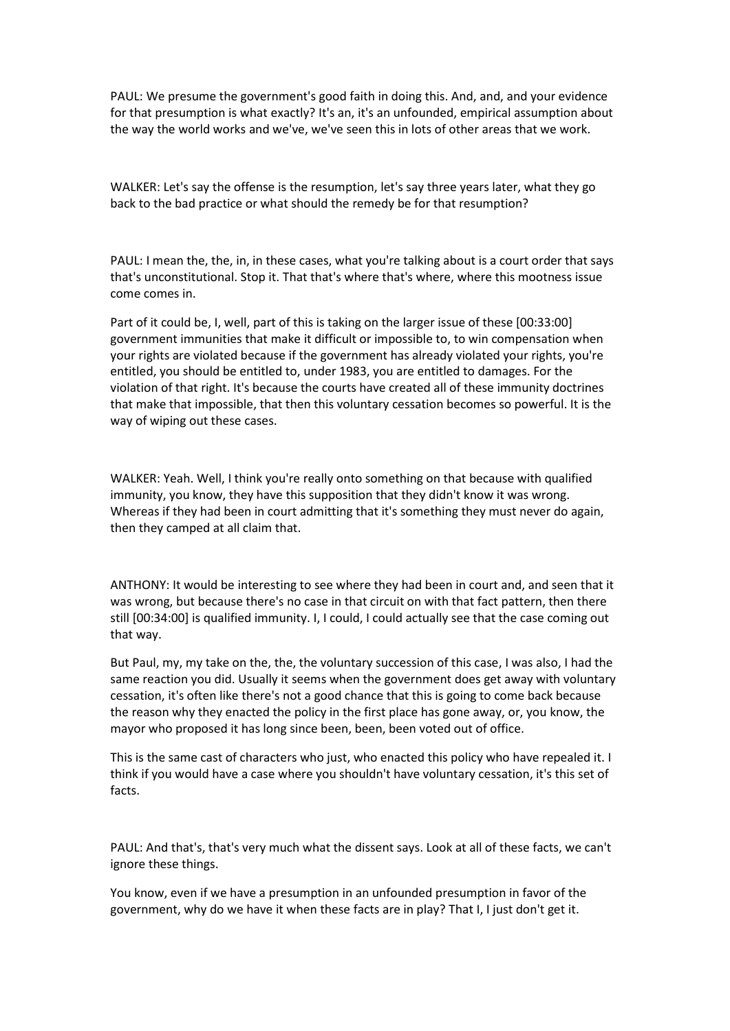PAUL: We presume the government's good faith in doing this. And, and, and your evidence for that presumption is what exactly? It's an, it's an unfounded, empirical assumption about the way the world works and we've, we've seen this in lots of other areas that we work.

WALKER: Let's say the offense is the resumption, let's say three years later, what they go back to the bad practice or what should the remedy be for that resumption?

PAUL: I mean the, the, in, in these cases, what you're talking about is a court order that says that's unconstitutional. Stop it. That that's where that's where, where this mootness issue come comes in.

Part of it could be, I, well, part of this is taking on the larger issue of these [00:33:00] government immunities that make it difficult or impossible to, to win compensation when your rights are violated because if the government has already violated your rights, you're entitled, you should be entitled to, under 1983, you are entitled to damages. For the violation of that right. It's because the courts have created all of these immunity doctrines that make that impossible, that then this voluntary cessation becomes so powerful. It is the way of wiping out these cases.

WALKER: Yeah. Well, I think you're really onto something on that because with qualified immunity, you know, they have this supposition that they didn't know it was wrong. Whereas if they had been in court admitting that it's something they must never do again, then they camped at all claim that.

ANTHONY: It would be interesting to see where they had been in court and, and seen that it was wrong, but because there's no case in that circuit on with that fact pattern, then there still [00:34:00] is qualified immunity. I, I could, I could actually see that the case coming out that way.

But Paul, my, my take on the, the, the voluntary succession of this case, I was also, I had the same reaction you did. Usually it seems when the government does get away with voluntary cessation, it's often like there's not a good chance that this is going to come back because the reason why they enacted the policy in the first place has gone away, or, you know, the mayor who proposed it has long since been, been, been voted out of office.

This is the same cast of characters who just, who enacted this policy who have repealed it. I think if you would have a case where you shouldn't have voluntary cessation, it's this set of facts.

PAUL: And that's, that's very much what the dissent says. Look at all of these facts, we can't ignore these things.

You know, even if we have a presumption in an unfounded presumption in favor of the government, why do we have it when these facts are in play? That I, I just don't get it.